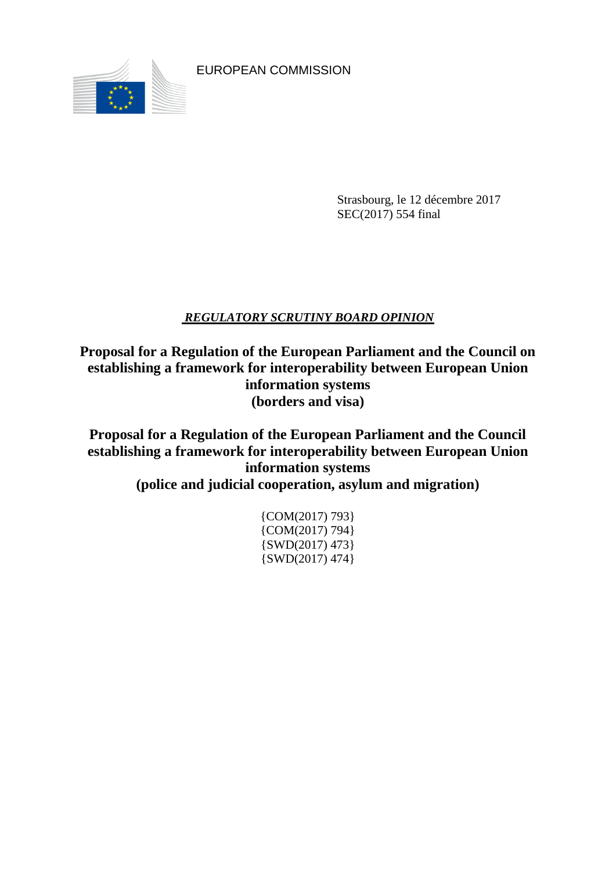

EUROPEAN COMMISSION

Strasbourg, le 12 décembre 2017 SEC(2017) 554 final

# *REGULATORY SCRUTINY BOARD OPINION*

**Proposal for a Regulation of the European Parliament and the Council on establishing a framework for interoperability between European Union information systems (borders and visa)**

**Proposal for a Regulation of the European Parliament and the Council establishing a framework for interoperability between European Union information systems**

**(police and judicial cooperation, asylum and migration)**

| $\{COM(2017) 793\}$ |
|---------------------|
| $\{COM(2017) 794\}$ |
| $\{SWD(2017) 473\}$ |
| $\{SWD(2017) 474\}$ |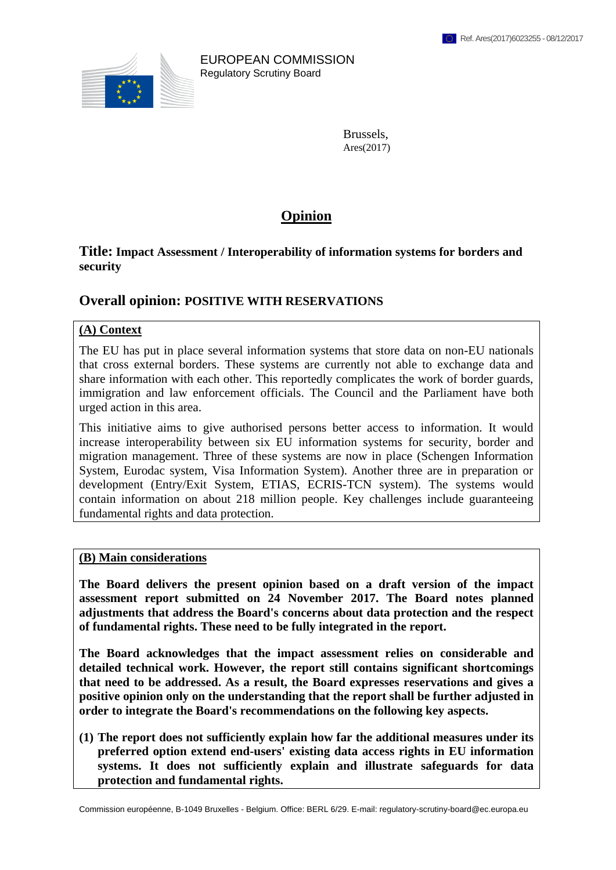

EUROPEAN COMMISSION Regulatory Scrutiny Board

> Brussels, Ares(2017)

# **Opinion**

## **Title: Impact Assessment / Interoperability of information systems for borders and security**

# **Overall opinion: POSITIVE WITH RESERVATIONS**

#### **(A) Context**

The EU has put in place several information systems that store data on non-EU nationals that cross external borders. These systems are currently not able to exchange data and share information with each other. This reportedly complicates the work of border guards, immigration and law enforcement officials. The Council and the Parliament have both urged action in this area.

This initiative aims to give authorised persons better access to information. It would increase interoperability between six EU information systems for security, border and migration management. Three of these systems are now in place (Schengen Information System, Eurodac system, Visa Information System). Another three are in preparation or development (Entry/Exit System, ETIAS, ECRIS-TCN system). The systems would contain information on about 218 million people. Key challenges include guaranteeing fundamental rights and data protection.

#### **(B) Main considerations**

**The Board delivers the present opinion based on a draft version of the impact assessment report submitted on 24 November 2017. The Board notes planned adjustments that address the Board's concerns about data protection and the respect of fundamental rights. These need to be fully integrated in the report.**

**The Board acknowledges that the impact assessment relies on considerable and detailed technical work. However, the report still contains significant shortcomings that need to be addressed. As a result, the Board expresses reservations and gives a positive opinion only on the understanding that the report shall be further adjusted in order to integrate the Board's recommendations on the following key aspects.**

**(1) The report does not sufficiently explain how far the additional measures under its preferred option extend end-users' existing data access rights in EU information systems. It does not sufficiently explain and illustrate safeguards for data protection and fundamental rights.**

Commission européenne, B-1049 Bruxelles - Belgium. Office: BERL 6/29. E-mail: regulatory-scrutiny-board@ec.europa.eu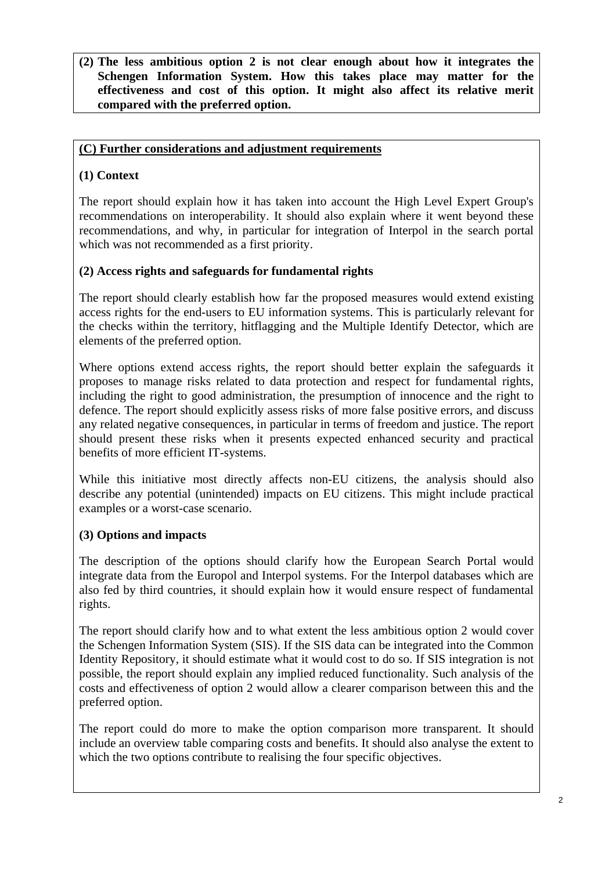### **(2) The less ambitious option 2 is not clear enough about how it integrates the Schengen Information System. How this takes place may matter for the effectiveness and cost of this option. It might also affect its relative merit compared with the preferred option.**

# **(C) Further considerations and adjustment requirements**

# **(1) Context**

The report should explain how it has taken into account the High Level Expert Group's recommendations on interoperability. It should also explain where it went beyond these recommendations, and why, in particular for integration of Interpol in the search portal which was not recommended as a first priority.

### **(2) Access rights and safeguards for fundamental rights**

The report should clearly establish how far the proposed measures would extend existing access rights for the end-users to EU information systems. This is particularly relevant for the checks within the territory, hitflagging and the Multiple Identify Detector, which are elements of the preferred option.

Where options extend access rights, the report should better explain the safeguards it proposes to manage risks related to data protection and respect for fundamental rights, including the right to good administration, the presumption of innocence and the right to defence. The report should explicitly assess risks of more false positive errors, and discuss any related negative consequences, in particular in terms of freedom and justice. The report should present these risks when it presents expected enhanced security and practical benefits of more efficient IT-systems.

While this initiative most directly affects non-EU citizens, the analysis should also describe any potential (unintended) impacts on EU citizens. This might include practical examples or a worst-case scenario.

### **(3) Options and impacts**

The description of the options should clarify how the European Search Portal would integrate data from the Europol and Interpol systems. For the Interpol databases which are also fed by third countries, it should explain how it would ensure respect of fundamental rights.

The report should clarify how and to what extent the less ambitious option 2 would cover the Schengen Information System (SIS). If the SIS data can be integrated into the Common Identity Repository, it should estimate what it would cost to do so. If SIS integration is not possible, the report should explain any implied reduced functionality. Such analysis of the costs and effectiveness of option 2 would allow a clearer comparison between this and the preferred option.

The report could do more to make the option comparison more transparent. It should include an overview table comparing costs and benefits. It should also analyse the extent to which the two options contribute to realising the four specific objectives.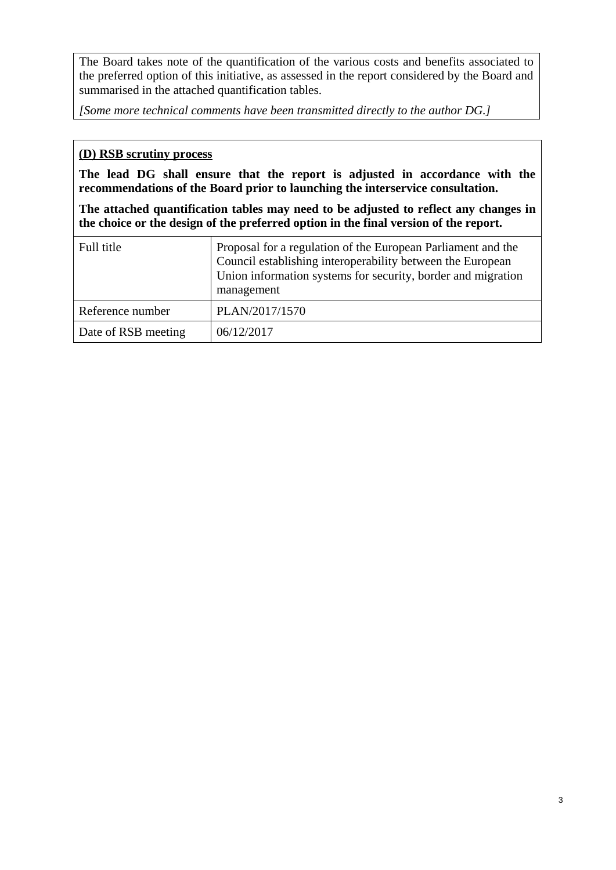The Board takes note of the quantification of the various costs and benefits associated to the preferred option of this initiative, as assessed in the report considered by the Board and summarised in the attached quantification tables.

*[Some more technical comments have been transmitted directly to the author DG.]*

## **(D) RSB scrutiny process**

**The lead DG shall ensure that the report is adjusted in accordance with the recommendations of the Board prior to launching the interservice consultation.**

**The attached quantification tables may need to be adjusted to reflect any changes in the choice or the design of the preferred option in the final version of the report.**

| Full title          | Proposal for a regulation of the European Parliament and the<br>Council establishing interoperability between the European<br>Union information systems for security, border and migration<br>management |
|---------------------|----------------------------------------------------------------------------------------------------------------------------------------------------------------------------------------------------------|
| Reference number    | PLAN/2017/1570                                                                                                                                                                                           |
| Date of RSB meeting | 06/12/2017                                                                                                                                                                                               |